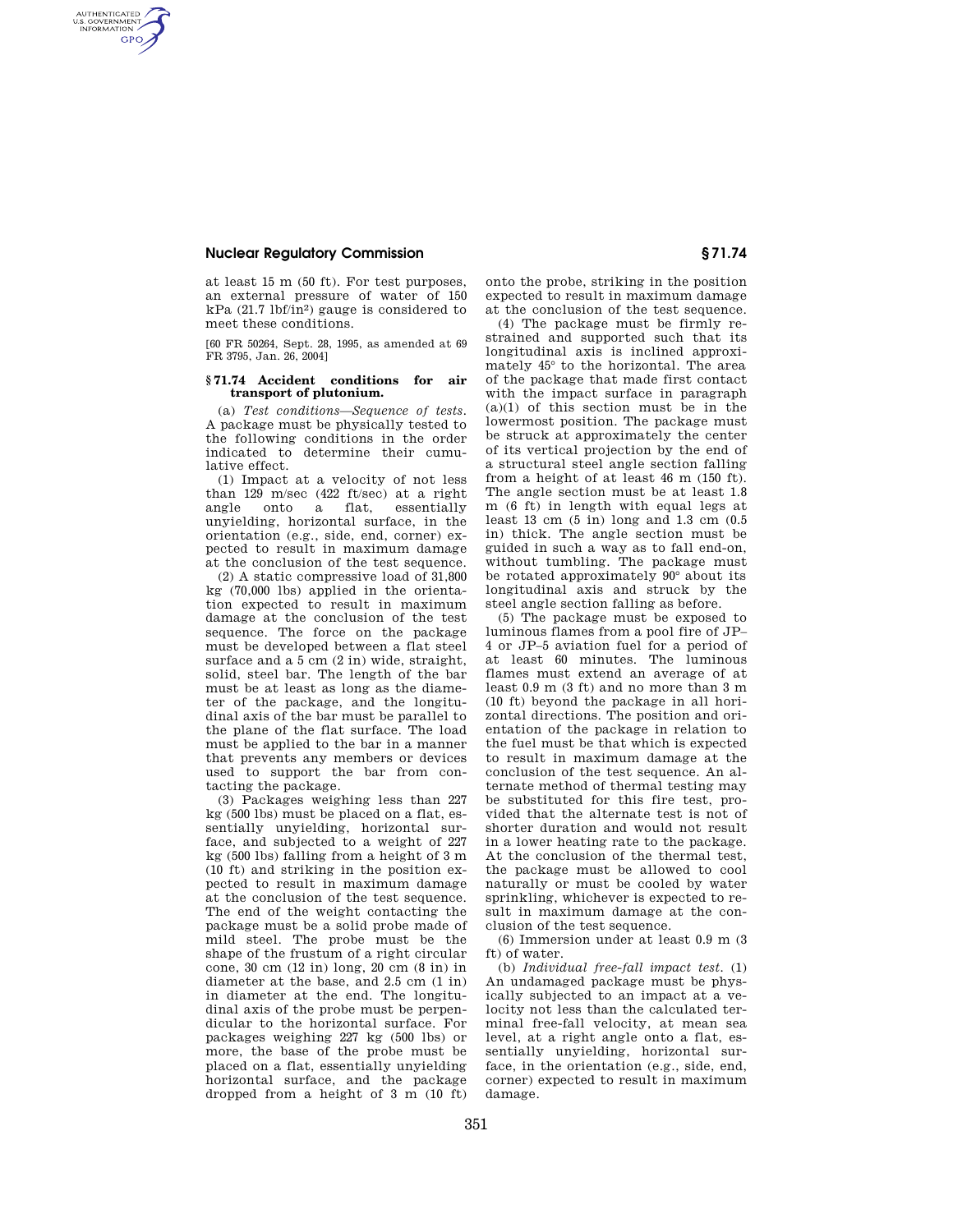## **Nuclear Regulatory Commission § 71.74**

AUTHENTICATED<br>U.S. GOVERNMENT<br>INFORMATION **GPO** 

> at least 15 m (50 ft). For test purposes, an external pressure of water of 150 kPa (21.7 lbf/in2) gauge is considered to meet these conditions.

> [60 FR 50264, Sept. 28, 1995, as amended at 69 FR 3795, Jan. 26, 2004]

## **§ 71.74 Accident conditions for air transport of plutonium.**

(a) *Test conditions—Sequence of tests.*  A package must be physically tested to the following conditions in the order indicated to determine their cumulative effect.

(1) Impact at a velocity of not less than 129 m/sec (422 ft/sec) at a right angle onto a flat, essentially unyielding, horizontal surface, in the orientation (e.g., side, end, corner) expected to result in maximum damage at the conclusion of the test sequence.

(2) A static compressive load of 31,800 kg (70,000 lbs) applied in the orientation expected to result in maximum damage at the conclusion of the test sequence. The force on the package must be developed between a flat steel surface and a 5 cm (2 in) wide, straight, solid, steel bar. The length of the bar must be at least as long as the diameter of the package, and the longitudinal axis of the bar must be parallel to the plane of the flat surface. The load must be applied to the bar in a manner that prevents any members or devices used to support the bar from contacting the package.

(3) Packages weighing less than 227 kg (500 lbs) must be placed on a flat, essentially unyielding, horizontal surface, and subjected to a weight of 227 kg (500 lbs) falling from a height of 3 m (10 ft) and striking in the position expected to result in maximum damage at the conclusion of the test sequence. The end of the weight contacting the package must be a solid probe made of mild steel. The probe must be the shape of the frustum of a right circular cone, 30 cm (12 in) long, 20 cm (8 in) in diameter at the base, and 2.5 cm (1 in) in diameter at the end. The longitudinal axis of the probe must be perpendicular to the horizontal surface. For packages weighing 227 kg (500 lbs) or more, the base of the probe must be placed on a flat, essentially unyielding horizontal surface, and the package dropped from a height of 3  $\overline{m}$  (10 ft)

onto the probe, striking in the position expected to result in maximum damage at the conclusion of the test sequence.

(4) The package must be firmly restrained and supported such that its longitudinal axis is inclined approximately 45° to the horizontal. The area of the package that made first contact with the impact surface in paragraph (a)(1) of this section must be in the lowermost position. The package must be struck at approximately the center of its vertical projection by the end of a structural steel angle section falling from a height of at least 46 m (150 ft). The angle section must be at least 1.8 m (6 ft) in length with equal legs at least 13 cm (5 in) long and 1.3 cm (0.5 in) thick. The angle section must be guided in such a way as to fall end-on, without tumbling. The package must be rotated approximately 90° about its longitudinal axis and struck by the steel angle section falling as before.

(5) The package must be exposed to luminous flames from a pool fire of JP– 4 or JP–5 aviation fuel for a period of at least 60 minutes. The luminous flames must extend an average of at least 0.9 m (3 ft) and no more than 3 m (10 ft) beyond the package in all horizontal directions. The position and orientation of the package in relation to the fuel must be that which is expected to result in maximum damage at the conclusion of the test sequence. An alternate method of thermal testing may be substituted for this fire test, provided that the alternate test is not of shorter duration and would not result in a lower heating rate to the package. At the conclusion of the thermal test, the package must be allowed to cool naturally or must be cooled by water sprinkling, whichever is expected to result in maximum damage at the conclusion of the test sequence.

(6) Immersion under at least 0.9 m (3 ft) of water.

(b) *Individual free-fall impact test.* (1) An undamaged package must be physically subjected to an impact at a velocity not less than the calculated terminal free-fall velocity, at mean sea level, at a right angle onto a flat, essentially unyielding, horizontal surface, in the orientation (e.g., side, end, corner) expected to result in maximum damage.